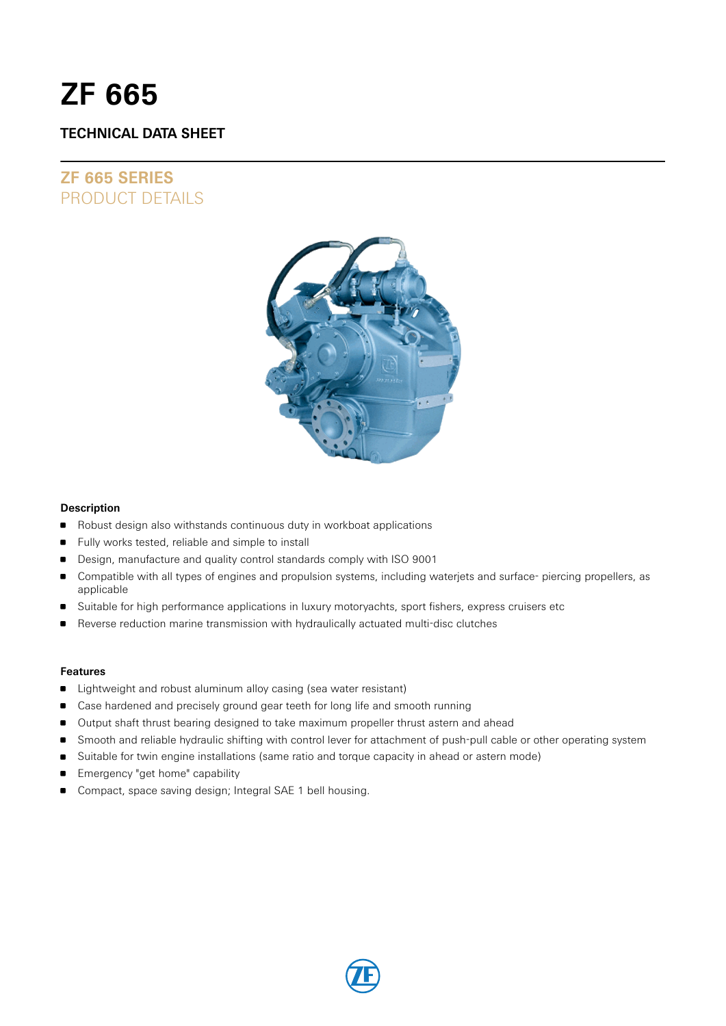# **ZF 665**

# **TECHNICAL DATA SHEET**

# **ZF 665 SERIES** PRODUCT DETAILS



#### **Description**

- Robust design also withstands continuous duty in workboat applications
- **Fully works tested, reliable and simple to install**
- Design, manufacture and quality control standards comply with ISO 9001
- Compatible with all types of engines and propulsion systems, including waterjets and surface- piercing propellers, as applicable
- Suitable for high performance applications in luxury motoryachts, sport fishers, express cruisers etc
- Reverse reduction marine transmission with hydraulically actuated multi-disc clutches

#### **Features**

- **EXTENDI** Lightweight and robust aluminum alloy casing (sea water resistant)
- **Case hardened and precisely ground gear teeth for long life and smooth running**
- Output shaft thrust bearing designed to take maximum propeller thrust astern and ahead
- **Smooth and reliable hydraulic shifting with control lever for attachment of push-pull cable or other operating system**
- **Suitable for twin engine installations (same ratio and torque capacity in ahead or astern mode)**
- Emergency "get home" capability
- Compact, space saving design; Integral SAE 1 bell housing.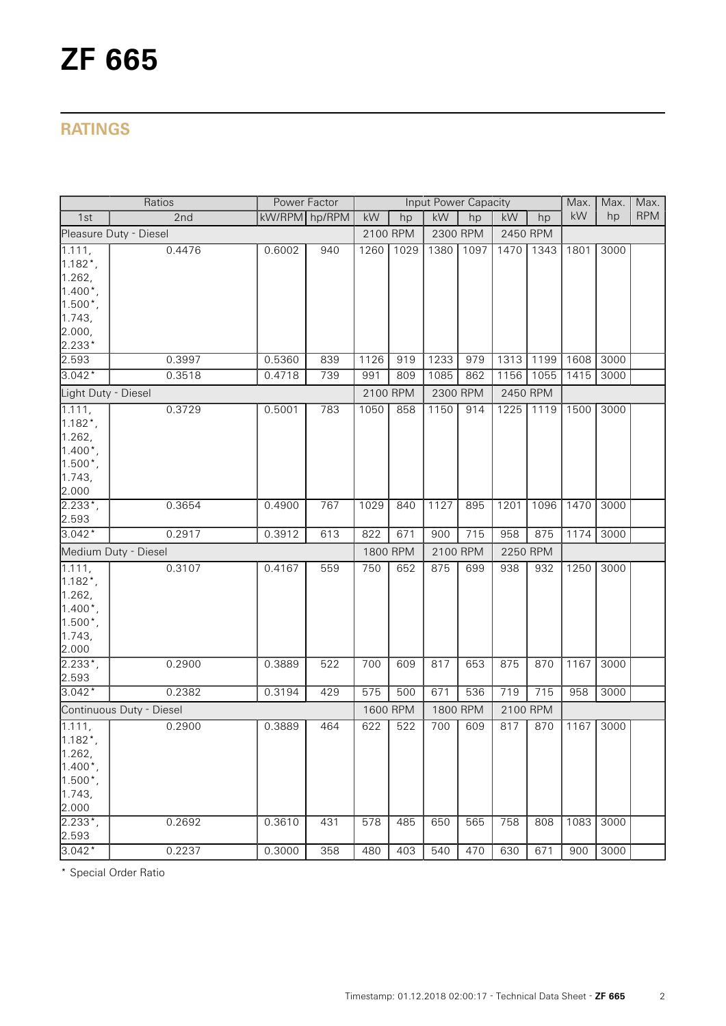# **RATINGS**

|                          | Ratios                 |               | Power Factor |      |          | <b>Input Power Capacity</b> |          |          |          | Max. | Max. | Max.       |
|--------------------------|------------------------|---------------|--------------|------|----------|-----------------------------|----------|----------|----------|------|------|------------|
| 1st                      | 2nd                    | kW/RPM hp/RPM |              | kW   | hp       | kW                          | hp       | kW       | hp       | kW   | hp   | <b>RPM</b> |
|                          | Pleasure Duty - Diesel |               |              |      | 2100 RPM |                             | 2300 RPM | 2450 RPM |          |      |      |            |
| 1.111,                   | 0.4476                 | 0.6002        | 940          | 1260 | 1029     | 1380                        | 1097     | 1470     | 1343     | 1801 | 3000 |            |
| $1.182$ <sup>*</sup> ,   |                        |               |              |      |          |                             |          |          |          |      |      |            |
| 1.262,                   |                        |               |              |      |          |                             |          |          |          |      |      |            |
| $1.400^*$ ,              |                        |               |              |      |          |                             |          |          |          |      |      |            |
| $1.500*$ ,               |                        |               |              |      |          |                             |          |          |          |      |      |            |
| 1.743,                   |                        |               |              |      |          |                             |          |          |          |      |      |            |
| 2.000,                   |                        |               |              |      |          |                             |          |          |          |      |      |            |
| 2.233*                   |                        |               |              |      |          |                             |          |          |          |      |      |            |
| 2.593                    | 0.3997                 | 0.5360        | 839          | 1126 | 919      | 1233                        | 979      | 1313     | 1199     | 1608 | 3000 |            |
| $3.042*$                 | 0.3518                 | 0.4718        | 739          | 991  | 809      | 1085                        | 862      | 1156     | 1055     | 1415 | 3000 |            |
| Light Duty - Diesel      |                        |               |              |      | 2100 RPM | 2300 RPM                    |          | 2450 RPM |          |      |      |            |
| 1.111,                   | 0.3729                 | 0.5001        | 783          | 1050 | 858      | 1150                        | 914      | 1225     | 1119     | 1500 | 3000 |            |
| $1.182^*$ ,              |                        |               |              |      |          |                             |          |          |          |      |      |            |
| 1.262,                   |                        |               |              |      |          |                             |          |          |          |      |      |            |
| $1.400*$ ,               |                        |               |              |      |          |                             |          |          |          |      |      |            |
| $1.500*$ ,               |                        |               |              |      |          |                             |          |          |          |      |      |            |
| 1.743,                   |                        |               |              |      |          |                             |          |          |          |      |      |            |
| 2.000                    |                        |               |              |      |          |                             |          |          |          |      |      |            |
| $2.233^{*}$ ,            | 0.3654                 | 0.4900        | 767          | 1029 | 840      | 1127                        | 895      | 1201     | 1096     | 1470 | 3000 |            |
| 2.593                    |                        |               |              |      |          |                             |          |          |          |      |      |            |
| $3.042*$                 | 0.2917                 | 0.3912        | 613          | 822  | 671      | 900                         | 715      | 958      | 875      | 1174 | 3000 |            |
|                          | Medium Duty - Diesel   |               |              |      | 1800 RPM |                             | 2100 RPM |          | 2250 RPM |      |      |            |
| 1.111,                   | 0.3107                 | 0.4167        | 559          | 750  | 652      | 875                         | 699      | 938      | 932      | 1250 | 3000 |            |
| $1.182$ <sup>*</sup> ,   |                        |               |              |      |          |                             |          |          |          |      |      |            |
| 1.262,                   |                        |               |              |      |          |                             |          |          |          |      |      |            |
| $1.400*$ ,               |                        |               |              |      |          |                             |          |          |          |      |      |            |
| $1.500*$ ,               |                        |               |              |      |          |                             |          |          |          |      |      |            |
| 1.743,                   |                        |               |              |      |          |                             |          |          |          |      |      |            |
| 2.000                    |                        |               |              |      |          |                             |          |          |          |      |      |            |
| $2.233^{*}$ ,            | 0.2900                 | 0.3889        | 522          | 700  | 609      | 817                         | 653      | 875      | 870      | 1167 | 3000 |            |
| 2.593                    |                        |               |              |      |          |                             |          |          |          |      |      |            |
| $3.042*$                 | 0.2382                 | 0.3194        | 429          | 575  | 500      | 671                         | 536      | 719      | 715      | 958  | 3000 |            |
| Continuous Duty - Diesel |                        |               |              |      | 1600 RPM | 1800 RPM                    |          | 2100 RPM |          |      |      |            |
| 1.111,                   | 0.2900                 | 0.3889        | 464          | 622  | 522      | 700                         | 609      | 817      | 870      | 1167 | 3000 |            |
| $1.182*$                 |                        |               |              |      |          |                             |          |          |          |      |      |            |
| 1.262,                   |                        |               |              |      |          |                             |          |          |          |      |      |            |
| $1.400^*$ ,              |                        |               |              |      |          |                             |          |          |          |      |      |            |
| $1.500^*$ ,              |                        |               |              |      |          |                             |          |          |          |      |      |            |
| 1.743,                   |                        |               |              |      |          |                             |          |          |          |      |      |            |
| 2.000                    |                        |               |              |      |          |                             |          |          |          |      |      |            |
| $2.233*$                 | 0.2692                 | 0.3610        | 431          | 578  | 485      | 650                         | 565      | 758      | 808      | 1083 | 3000 |            |
| 2.593                    |                        |               |              |      |          |                             |          |          |          |      |      |            |
| $3.042*$                 | 0.2237                 | 0.3000        | 358          | 480  | 403      | 540                         | 470      | 630      | 671      | 900  | 3000 |            |

\* Special Order Ratio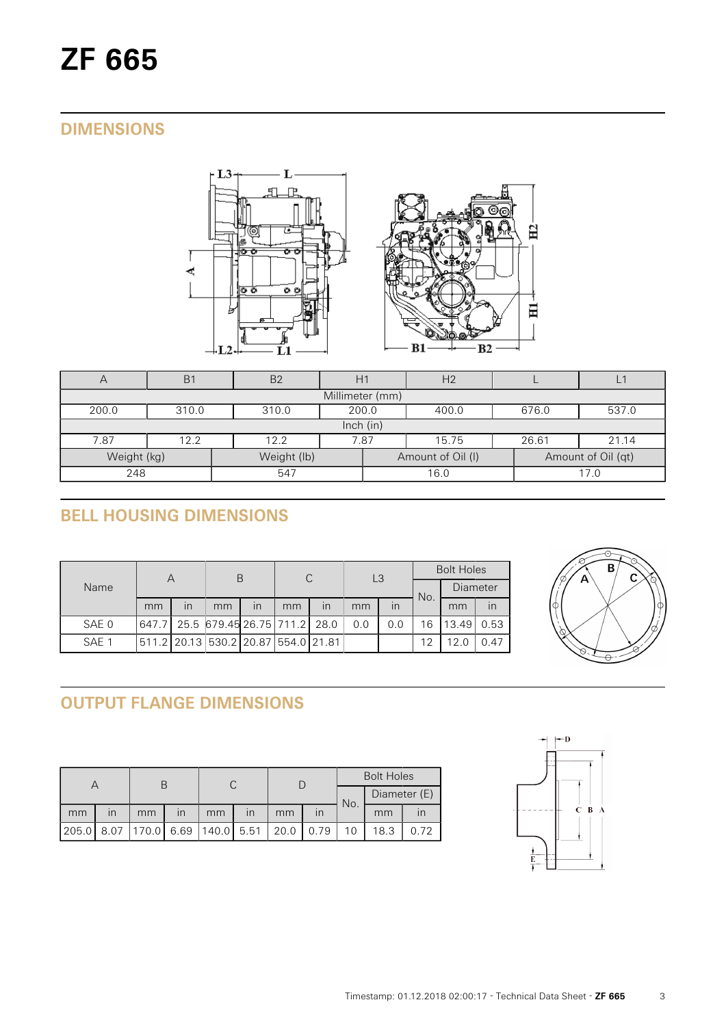# **DIMENSIONS**



| Η                          | B <sub>1</sub>                                     | B <sub>2</sub> |  |                   | H <sub>2</sub> |       |                    |  |  |  |  |
|----------------------------|----------------------------------------------------|----------------|--|-------------------|----------------|-------|--------------------|--|--|--|--|
|                            | Millimeter (mm)                                    |                |  |                   |                |       |                    |  |  |  |  |
| 200.0                      | 200.0<br>676.0<br>537.0<br>310.0<br>310.0<br>400.0 |                |  |                   |                |       |                    |  |  |  |  |
|                            | lnch (in)                                          |                |  |                   |                |       |                    |  |  |  |  |
| 7.87                       | 12.2                                               | 7.87<br>12.2   |  |                   | 15.75          | 26.61 | 21.14              |  |  |  |  |
| Weight (kg)<br>Weight (lb) |                                                    |                |  | Amount of Oil (I) |                |       | Amount of Oil (qt) |  |  |  |  |
| 248                        |                                                    | 547            |  |                   | 16.0           |       | 17.0               |  |  |  |  |

# **BELL HOUSING DIMENSIONS**

|       | Α  |                         | В                                   |                         | C  |    | L <sub>3</sub> |     | <b>Bolt Holes</b> |          |      |
|-------|----|-------------------------|-------------------------------------|-------------------------|----|----|----------------|-----|-------------------|----------|------|
| Name  |    |                         |                                     |                         |    |    |                |     | No.               | Diameter |      |
|       | mm | $\overline{\mathsf{I}}$ | mm                                  | $\overline{\mathsf{I}}$ | mm | in | mm             | in  |                   | mm       | in   |
| SAE 0 |    |                         | 647.7 25.5 679.45 26.75 711.2 28.0  |                         |    |    | 0.0            | 0.0 | 16                | 13.49    | 0.53 |
| SAE 1 |    |                         | 511.2 20.13 530.2 20.87 554.0 21.81 |                         |    |    |                |     | 12                | 12.0     | 0.47 |



# **OUTPUT FLANGE DIMENSIONS**

|       |                         |                            |                         |    |                         |      |              | <b>Bolt Holes</b> |              |      |  |
|-------|-------------------------|----------------------------|-------------------------|----|-------------------------|------|--------------|-------------------|--------------|------|--|
|       |                         |                            |                         |    |                         |      |              | No.               | Diameter (E) |      |  |
| mm    | $\mathsf{I} \mathsf{n}$ | mm                         | $\overline{\mathsf{I}}$ | mm | $\overline{\mathsf{I}}$ | mm   | $\mathsf{I}$ |                   | mm           |      |  |
| 205.0 |                         | 8.07 170.0 6.69 140.0 5.51 |                         |    |                         | 20.0 | 0.79         |                   | 18.3         | 0.72 |  |